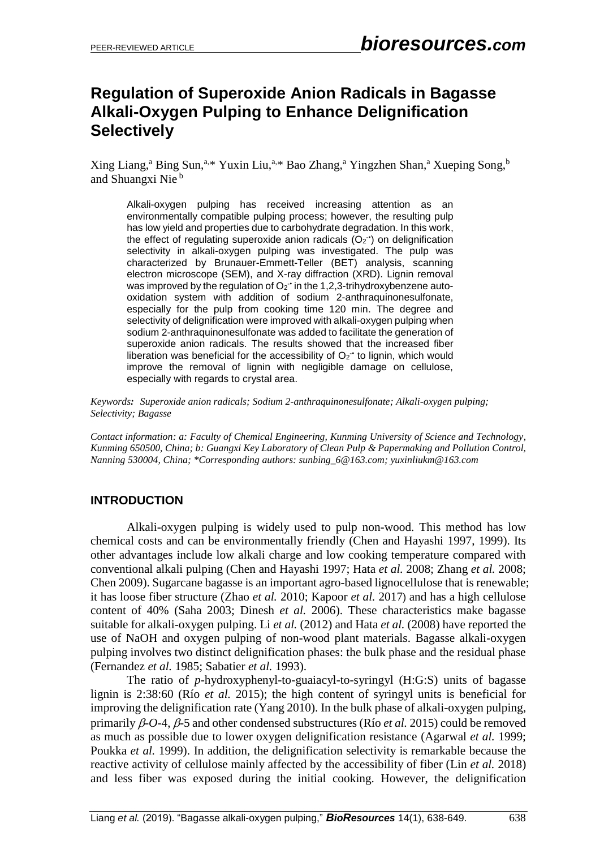# **Regulation of Superoxide Anion Radicals in Bagasse Alkali-Oxygen Pulping to Enhance Delignification Selectively**

Xing Liang,<sup>a</sup> Bing Sun,<sup>a,\*</sup> Yuxin Liu,<sup>a,\*</sup> Bao Zhang,<sup>a</sup> Yingzhen Shan,<sup>a</sup> Xueping Song,<sup>b</sup> and Shuangxi Nie <sup>b</sup>

Alkali-oxygen pulping has received increasing attention as an environmentally compatible pulping process; however, the resulting pulp has low yield and properties due to carbohydrate degradation. In this work, the effect of regulating superoxide anion radicals  $(O_2$ <sup>+</sup>) on delignification selectivity in alkali-oxygen pulping was investigated. The pulp was characterized by Brunauer-Emmett-Teller (BET) analysis, scanning electron microscope (SEM), and X-ray diffraction (XRD). Lignin removal was improved by the regulation of  $O_2$ <sup>-</sup> in the 1,2,3-trihydroxybenzene autooxidation system with addition of sodium 2-anthraquinonesulfonate, especially for the pulp from cooking time 120 min. The degree and selectivity of delignification were improved with alkali-oxygen pulping when sodium 2-anthraquinonesulfonate was added to facilitate the generation of superoxide anion radicals. The results showed that the increased fiber liberation was beneficial for the accessibility of  $O_2$ <sup>+</sup> to lignin, which would improve the removal of lignin with negligible damage on cellulose, especially with regards to crystal area.

*Keywords: Superoxide anion radicals; Sodium 2-anthraquinonesulfonate; Alkali-oxygen pulping; Selectivity; Bagasse*

*Contact information: a: Faculty of Chemical Engineering, Kunming University of Science and Technology, Kunming 650500, China; b: Guangxi Key Laboratory of Clean Pulp & Papermaking and Pollution Control, Nanning 530004, China; \*Corresponding authors: sunbing\_6@163.com; yuxinliukm@163.com*

### **INTRODUCTION**

Alkali-oxygen pulping is widely used to pulp non-wood. This method has low chemical costs and can be environmentally friendly (Chen and Hayashi 1997, 1999). Its other advantages include low alkali charge and low cooking temperature compared with conventional alkali pulping (Chen and Hayashi 1997; Hata *et al.* 2008; Zhang *et al.* 2008; Chen 2009). Sugarcane bagasse is an important agro-based lignocellulose that is renewable; it has loose fiber structure (Zhao *et al.* 2010; Kapoor *et al.* 2017) and has a high cellulose content of 40% (Saha 2003; Dinesh *et al.* 2006). These characteristics make bagasse suitable for alkali-oxygen pulping. Li *et al.* (2012) and Hata *et al.* (2008) have reported the use of NaOH and oxygen pulping of non-wood plant materials. Bagasse alkali-oxygen pulping involves two distinct delignification phases: the bulk phase and the residual phase (Fernandez *et al.* 1985; Sabatier *et al.* 1993).

The ratio of *p*-hydroxyphenyl-to-guaiacyl-to-syringyl (H:G:S) units of bagasse lignin is 2:38:60 (Río *et al.* 2015); the high content of syringyl units is beneficial for improving the delignification rate (Yang 2010). In the bulk phase of alkali-oxygen pulping, primarily  $\beta$ - $O$ -4,  $\beta$ -5 and other condensed substructures (Río *et al.* 2015) could be removed as much as possible due to lower oxygen delignification resistance (Agarwal *et al.* 1999; Poukka *et al.* 1999). In addition, the delignification selectivity is remarkable because the reactive activity of cellulose mainly affected by the accessibility of fiber (Lin *et al.* 2018) and less fiber was exposed during the initial cooking. However, the delignification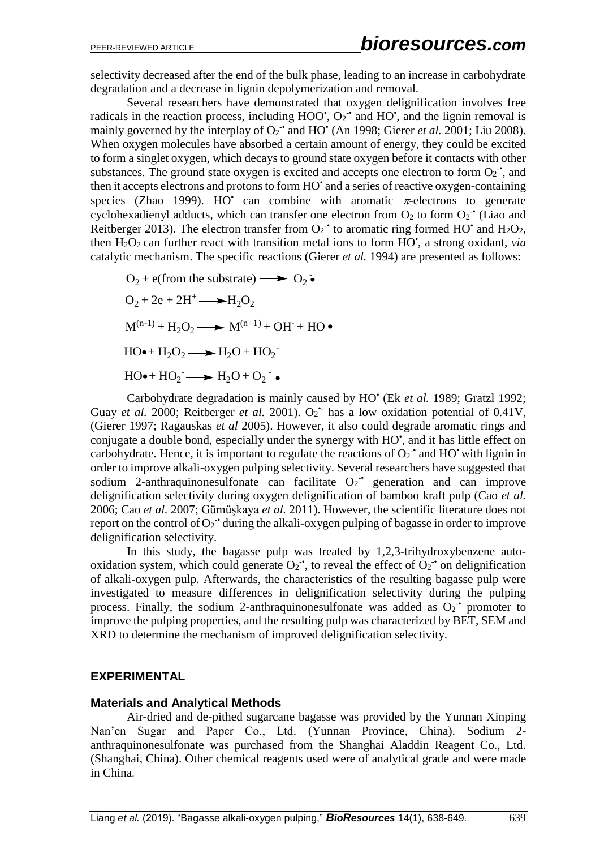selectivity decreased after the end of the bulk phase, leading to an increase in carbohydrate degradation and a decrease in lignin depolymerization and removal.

Several researchers have demonstrated that oxygen delignification involves free radicals in the reaction process, including HOO',  $O_2$ <sup>-</sup> and HO', and the lignin removal is mainly governed by the interplay of O<sub>2</sub><sup>-•</sup> and HO<sup>•</sup> (An 1998; Gierer *et al.* 2001; Liu 2008). When oxygen molecules have absorbed a certain amount of energy, they could be excited to form a singlet oxygen, which decays to ground state oxygen before it contacts with other substances. The ground state oxygen is excited and accepts one electron to form  $O_2$ <sup>-</sup>, and then it accepts electrons and protons to form HO' and a series of reactive oxygen-containing species (Zhao 1999). HO' can combine with aromatic  $\pi$ -electrons to generate cyclohexadienyl adducts, which can transfer one electron from  $O_2$  to form  $O_2$ <sup>-</sup> (Liao and Reitberger 2013). The electron transfer from  $O_2$ <sup>+</sup> to aromatic ring formed HO<sup>+</sup> and H<sub>2</sub>O<sub>2</sub>, then  $H_2O_2$  can further react with transition metal ions to form  $HO^*$ , a strong oxidant, *via* catalytic mechanism. The specific reactions (Gierer *et al.* 1994) are presented as follows:

$$
O_2 + e(from the substrate) \longrightarrow O_2 \bullet
$$
  
\n
$$
O_2 + 2e + 2H^+ \longrightarrow H_2O_2
$$
  
\n
$$
M^{(n-1)} + H_2O_2 \longrightarrow M^{(n+1)} + OH^+ + HO \bullet
$$
  
\n
$$
HO \bullet + H_2O_2 \longrightarrow H_2O + HO_2^-
$$
  
\n
$$
HO \bullet + HO_2^- \longrightarrow H_2O + O_2^- \bullet
$$

Carbohydrate degradation is mainly caused by HO• (Ek *et al.* 1989; Gratzl 1992; Guay *et al.* 2000; Reitberger *et al.* 2001). O<sub>2</sub><sup>+</sup> has a low oxidation potential of 0.41V, (Gierer 1997; Ragauskas *et al* 2005). However, it also could degrade aromatic rings and conjugate a double bond, especially under the synergy with HO', and it has little effect on carbohydrate. Hence, it is important to regulate the reactions of  $O_2$ <sup>-</sup> and HO<sup>•</sup> with lignin in order to improve alkali-oxygen pulping selectivity. Several researchers have suggested that sodium 2-anthraquinonesulfonate can facilitate  $O_2$  generation and can improve delignification selectivity during oxygen delignification of bamboo kraft pulp (Cao *et al.* 2006; Cao *et al.* 2007; Gümüşkaya *et al.* 2011). However, the scientific literature does not report on the control of  $O_2$ <sup>+</sup> during the alkali-oxygen pulping of bagasse in order to improve delignification selectivity.

In this study, the bagasse pulp was treated by 1,2,3-trihydroxybenzene autooxidation system, which could generate  $O_2^{\bullet}$ , to reveal the effect of  $O_2^{\bullet}$  on delignification of alkali-oxygen pulp. Afterwards, the characteristics of the resulting bagasse pulp were investigated to measure differences in delignification selectivity during the pulping process. Finally, the sodium 2-anthraquinonesulfonate was added as  $O_2$ <sup>-</sup> promoter to improve the pulping properties, and the resulting pulp was characterized by BET, SEM and XRD to determine the mechanism of improved delignification selectivity.

### **EXPERIMENTAL**

#### **Materials and Analytical Methods**

Air-dried and de-pithed sugarcane bagasse was provided by the Yunnan Xinping Nan'en Sugar and Paper Co., Ltd. (Yunnan Province, China). Sodium 2 anthraquinonesulfonate was purchased from the Shanghai Aladdin Reagent Co., Ltd. (Shanghai, China). Other chemical reagents used were of analytical grade and were made in China.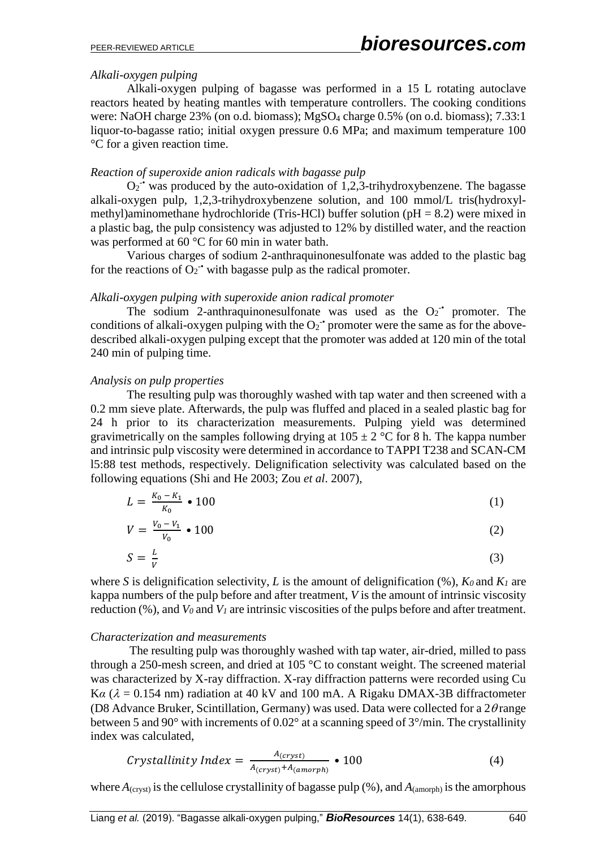#### *Alkali-oxygen pulping*

Alkali-oxygen pulping of bagasse was performed in a 15 L rotating autoclave reactors heated by heating mantles with temperature controllers. The cooking conditions were: NaOH charge 23% (on o.d. biomass); MgSO<sup>4</sup> charge 0.5% (on o.d. biomass); 7.33:1 liquor-to-bagasse ratio; initial oxygen pressure 0.6 MPa; and maximum temperature 100 °C for a given reaction time.

#### *Reaction of superoxide anion radicals with bagasse pulp*

 $O_2$ <sup>-•</sup> was produced by the auto-oxidation of 1,2,3-trihydroxybenzene. The bagasse alkali-oxygen pulp, 1,2,3-trihydroxybenzene solution, and 100 mmol/L tris(hydroxylmethyl)aminomethane hydrochloride (Tris-HCl) buffer solution (pH = 8.2) were mixed in a plastic bag, the pulp consistency was adjusted to 12% by distilled water, and the reaction was performed at 60 °C for 60 min in water bath.

Various charges of sodium 2-anthraquinonesulfonate was added to the plastic bag for the reactions of  $O_2$ <sup>-•</sup> with bagasse pulp as the radical promoter.

### *Alkali-oxygen pulping with superoxide anion radical promoter*

The sodium 2-anthraquinonesulfonate was used as the  $O_2$ <sup>+</sup> promoter. The conditions of alkali-oxygen pulping with the  $O_2$ <sup>+</sup> promoter were the same as for the abovedescribed alkali-oxygen pulping except that the promoter was added at 120 min of the total 240 min of pulping time.

### *Analysis on pulp properties*

The resulting pulp was thoroughly washed with tap water and then screened with a 0.2 mm sieve plate. Afterwards, the pulp was fluffed and placed in a sealed plastic bag for 24 h prior to its characterization measurements. Pulping yield was determined gravimetrically on the samples following drying at  $105 \pm 2$  °C for 8 h. The kappa number and intrinsic pulp viscosity were determined in accordance to TAPPI T238 and SCAN-CM l5:88 test methods, respectively. Delignification selectivity was calculated based on the following equations (Shi and He 2003; Zou *et al*. 2007),

$$
L = \frac{K_0 - K_1}{K_0} \cdot 100 \tag{1}
$$

$$
V = \frac{V_0 - V_1}{V_0} \bullet 100 \tag{2}
$$

$$
S = \frac{L}{V} \tag{3}
$$

where *S* is delignification selectivity, *L* is the amount of delignification  $(\%)$ ,  $K_0$  and  $K_1$  are kappa numbers of the pulp before and after treatment, *V* is the amount of intrinsic viscosity reduction (%), and  $V_0$  and  $V_1$  are intrinsic viscosities of the pulps before and after treatment.

#### *Characterization and measurements*

 The resulting pulp was thoroughly washed with tap water, air-dried, milled to pass through a 250-mesh screen, and dried at 105 °C to constant weight. The screened material was characterized by X-ray diffraction. X-ray diffraction patterns were recorded using Cu K $\alpha$  ( $\lambda$  = 0.154 nm) radiation at 40 kV and 100 mA. A Rigaku DMAX-3B diffractometer (D8 Advance Bruker, Scintillation, Germany) was used. Data were collected for a  $2\theta$ range between 5 and 90° with increments of 0.02° at a scanning speed of 3°/min. The crystallinity index was calculated,

$$
Crystallinity Index = \frac{A_{(cryst)}}{A_{(cryst)} + A_{(amorph)}} \cdot 100 \tag{4}
$$

where  $A_{\text{(cryst)}}$  is the cellulose crystallinity of bagasse pulp (%), and  $A_{\text{(amorph)}}$  is the amorphous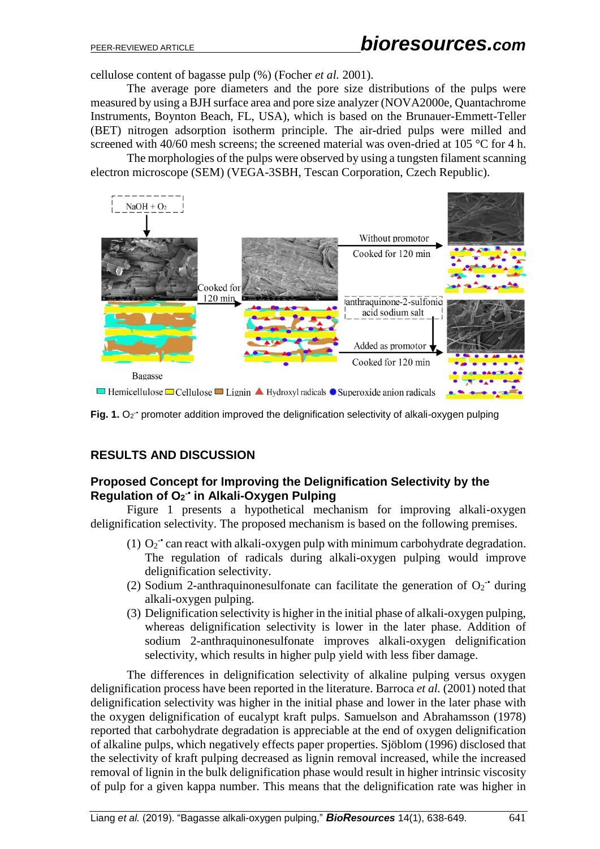cellulose content of bagasse pulp (%) (Focher *et al.* 2001).

The average pore diameters and the pore size distributions of the pulps were measured by using a BJH surface area and pore size analyzer (NOVA2000e, Quantachrome Instruments, Boynton Beach, FL, USA), which is based on the Brunauer-Emmett-Teller (BET) nitrogen adsorption isotherm principle. The air-dried pulps were milled and screened with 40/60 mesh screens; the screened material was oven-dried at 105 °C for 4 h.

The morphologies of the pulps were observed by using a tungsten filament scanning electron microscope (SEM) (VEGA-3SBH, Tescan Corporation, Czech Republic).



Fig. 1. O<sub>2</sub><sup>+</sup> promoter addition improved the delignification selectivity of alkali-oxygen pulping

## **RESULTS AND DISCUSSION**

### **Proposed Concept for Improving the Delignification Selectivity by the Regulation of O<sup>2</sup> -• in Alkali-Oxygen Pulping**

Figure 1 presents a hypothetical mechanism for improving alkali-oxygen delignification selectivity. The proposed mechanism is based on the following premises.

- (1)  $O_2$ <sup>-•</sup> can react with alkali-oxygen pulp with minimum carbohydrate degradation. The regulation of radicals during alkali-oxygen pulping would improve delignification selectivity.
- (2) Sodium 2-anthraquinonesulfonate can facilitate the generation of  $O_2$ <sup>+</sup> during alkali-oxygen pulping.
- (3) Delignification selectivity is higher in the initial phase of alkali-oxygen pulping, whereas delignification selectivity is lower in the later phase. Addition of sodium 2-anthraquinonesulfonate improves alkali-oxygen delignification selectivity, which results in higher pulp yield with less fiber damage.

The differences in delignification selectivity of alkaline pulping versus oxygen delignification process have been reported in the literature. Barroca *et al.* (2001) noted that delignification selectivity was higher in the initial phase and lower in the later phase with the oxygen delignification of eucalypt kraft pulps. Samuelson and Abrahamsson (1978) reported that carbohydrate degradation is appreciable at the end of oxygen delignification of alkaline pulps, which negatively effects paper properties. Sjöblom (1996) disclosed that the selectivity of kraft pulping decreased as lignin removal increased, while the increased removal of lignin in the bulk delignification phase would result in higher intrinsic viscosity of pulp for a given kappa number. This means that the delignification rate was higher in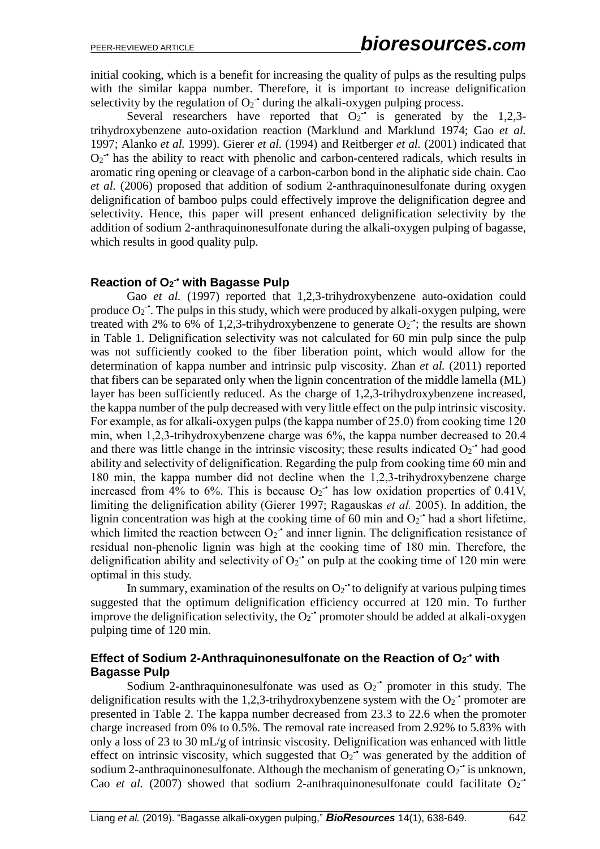initial cooking, which is a benefit for increasing the quality of pulps as the resulting pulps with the similar kappa number. Therefore, it is important to increase delignification selectivity by the regulation of  $O_2$ <sup>-•</sup> during the alkali-oxygen pulping process.

Several researchers have reported that  $O_2$ <sup>+</sup> is generated by the 1,2,3trihydroxybenzene auto-oxidation reaction (Marklund and Marklund 1974; Gao *et al.* 1997; Alanko *et al.* 1999). Gierer *et al.* (1994) and Reitberger *et al.* (2001) indicated that  $O_2$ <sup>-•</sup> has the ability to react with phenolic and carbon-centered radicals, which results in aromatic ring opening or cleavage of a carbon-carbon bond in the aliphatic side chain. Cao *et al.* (2006) proposed that addition of sodium 2-anthraquinonesulfonate during oxygen delignification of bamboo pulps could effectively improve the delignification degree and selectivity. Hence, this paper will present enhanced delignification selectivity by the addition of sodium 2-anthraquinonesulfonate during the alkali-oxygen pulping of bagasse, which results in good quality pulp.

#### **Reaction of O<sup>2</sup> -• with Bagasse Pulp**

Gao *et al.* (1997) reported that 1,2,3-trihydroxybenzene auto-oxidation could produce  $O_2$ <sup>-</sup>. The pulps in this study, which were produced by alkali-oxygen pulping, were treated with 2% to 6% of 1,2,3-trihydroxybenzene to generate  $O_2$ ; the results are shown in Table 1. Delignification selectivity was not calculated for 60 min pulp since the pulp was not sufficiently cooked to the fiber liberation point, which would allow for the determination of kappa number and intrinsic pulp viscosity. Zhan *et al.* (2011) reported that fibers can be separated only when the lignin concentration of the middle lamella (ML) layer has been sufficiently reduced. As the charge of 1,2,3-trihydroxybenzene increased, the kappa number of the pulp decreased with very little effect on the pulp intrinsic viscosity. For example, as for alkali-oxygen pulps (the kappa number of 25.0) from cooking time 120 min, when 1,2,3-trihydroxybenzene charge was 6%, the kappa number decreased to 20.4 and there was little change in the intrinsic viscosity; these results indicated  $O_2$ <sup>+</sup> had good ability and selectivity of delignification. Regarding the pulp from cooking time 60 min and 180 min, the kappa number did not decline when the 1,2,3-trihydroxybenzene charge increased from 4% to 6%. This is because  $O_2$ <sup>+</sup> has low oxidation properties of 0.41V, limiting the delignification ability (Gierer 1997; Ragauskas *et al.* 2005). In addition, the lignin concentration was high at the cooking time of 60 min and  $O_2$ <sup>+</sup> had a short lifetime, which limited the reaction between  $O_2$ <sup>-•</sup> and inner lignin. The delignification resistance of residual non-phenolic lignin was high at the cooking time of 180 min. Therefore, the delignification ability and selectivity of  $O_2$ <sup>+</sup> on pulp at the cooking time of 120 min were optimal in this study.

In summary, examination of the results on  $O_2$ <sup>+</sup> to delignify at various pulping times suggested that the optimum delignification efficiency occurred at 120 min. To further improve the delignification selectivity, the  $O_2$ <sup>+</sup> promoter should be added at alkali-oxygen pulping time of 120 min.

### **Effect of Sodium 2-Anthraquinonesulfonate on the Reaction of O<sup>2</sup> -• with Bagasse Pulp**

Sodium 2-anthraquinonesulfonate was used as  $O_2$ <sup>+</sup> promoter in this study. The delignification results with the 1,2,3-trihydroxybenzene system with the  $O_2$ <sup>-•</sup> promoter are presented in Table 2. The kappa number decreased from 23.3 to 22.6 when the promoter charge increased from 0% to 0.5%. The removal rate increased from 2.92% to 5.83% with only a loss of 23 to 30 mL/g of intrinsic viscosity. Delignification was enhanced with little effect on intrinsic viscosity, which suggested that  $O_2$ <sup>-•</sup> was generated by the addition of sodium 2-anthraquinonesulfonate. Although the mechanism of generating  $O_2$ <sup>-</sup> is unknown, Cao et al. (2007) showed that sodium 2-anthraquinonesulfonate could facilitate  $O_2$ <sup>-4</sup>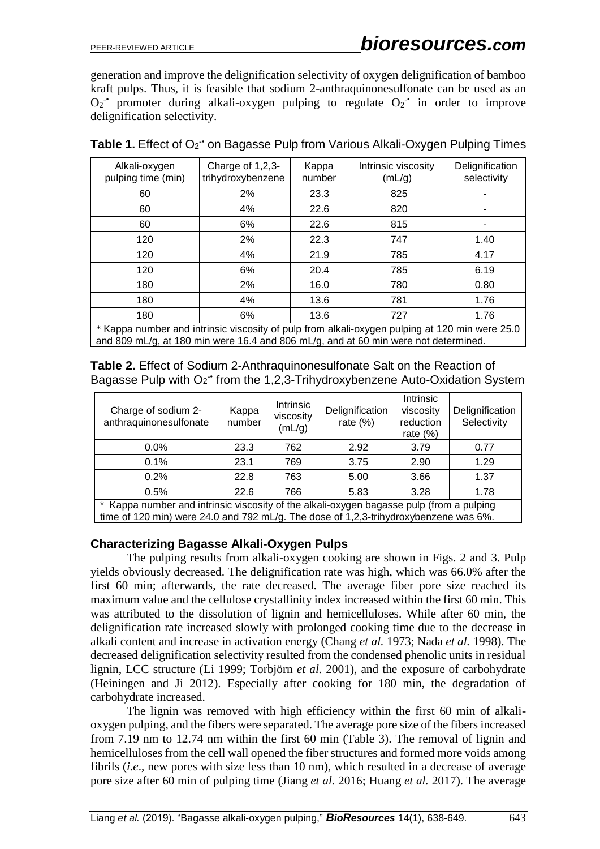generation and improve the delignification selectivity of oxygen delignification of bamboo kraft pulps. Thus, it is feasible that sodium 2-anthraquinonesulfonate can be used as an  $O_2$  promoter during alkali-oxygen pulping to regulate  $O_2$  in order to improve delignification selectivity.

| Alkali-oxygen<br>pulping time (min)                                                            | Charge of 1,2,3-<br>trihydroxybenzene | Kappa<br>number | Intrinsic viscosity<br>(mL/g) | Delignification<br>selectivity |  |  |
|------------------------------------------------------------------------------------------------|---------------------------------------|-----------------|-------------------------------|--------------------------------|--|--|
| 60                                                                                             | 2%                                    | 23.3            | 825                           |                                |  |  |
| 60                                                                                             | 4%                                    | 22.6            | 820                           |                                |  |  |
| 60                                                                                             | 6%                                    | 22.6            | 815                           |                                |  |  |
| 120                                                                                            | 2%                                    | 22.3            | 747                           | 1.40                           |  |  |
| 120                                                                                            | 4%                                    | 21.9            | 785                           | 4.17                           |  |  |
| 120                                                                                            | 6%                                    | 20.4            | 785                           | 6.19                           |  |  |
| 180                                                                                            | 2%                                    | 16.0            | 780                           | 0.80                           |  |  |
| 180                                                                                            | 4%                                    | 13.6            | 781                           | 1.76                           |  |  |
| 180                                                                                            | 6%                                    | 13.6            | 727                           | 1.76                           |  |  |
| * Kappa number and intrinsic viscosity of pulp from alkali-oxygen pulping at 120 min were 25.0 |                                       |                 |                               |                                |  |  |

Table 1. Effect of O<sub>2</sub><sup>-</sup> on Bagasse Pulp from Various Alkali-Oxygen Pulping Times

\* Kappa number and intrinsic viscosity of pulp from alkali-oxygen pulping at 120 min were 25.0 and 809 mL/g, at 180 min were 16.4 and 806 mL/g, and at 60 min were not determined.

**Table 2.** Effect of Sodium 2-Anthraquinonesulfonate Salt on the Reaction of Bagasse Pulp with O<sub>2</sub><sup>+</sup> from the 1,2,3-Trihydroxybenzene Auto-Oxidation System

| Charge of sodium 2-<br>anthraquinonesulfonate                                            | Kappa<br>number | Intrinsic<br>viscosity<br>(mL/g) | Delignification<br>rate $(\%)$ | <b>Intrinsic</b><br>viscosity<br>reduction<br>rate $(\%)$ | Delignification<br>Selectivity |  |  |
|------------------------------------------------------------------------------------------|-----------------|----------------------------------|--------------------------------|-----------------------------------------------------------|--------------------------------|--|--|
| $0.0\%$                                                                                  | 23.3            | 762                              | 2.92                           | 3.79                                                      | 0.77                           |  |  |
| 0.1%                                                                                     | 23.1            | 769                              | 3.75                           | 2.90                                                      | 1.29                           |  |  |
| 0.2%                                                                                     | 22.8            | 763                              | 5.00                           | 3.66                                                      | 1.37                           |  |  |
| 0.5%                                                                                     | 22.6            | 766                              | 5.83                           | 3.28                                                      | 1.78                           |  |  |
| * Kanna number and intrinsic viscosity of the alkali-oxygen bagasse nulp (from a nulping |                 |                                  |                                |                                                           |                                |  |  |

and intrinsic viscosity of the alkali-oxygen baga time of 120 min) were 24.0 and 792 mL/g. The dose of 1,2,3-trihydroxybenzene was 6%.

#### **Characterizing Bagasse Alkali-Oxygen Pulps**

The pulping results from alkali-oxygen cooking are shown in Figs. 2 and 3. Pulp yields obviously decreased. The delignification rate was high, which was 66.0% after the first 60 min; afterwards, the rate decreased. The average fiber pore size reached its maximum value and the cellulose crystallinity index increased within the first 60 min. This was attributed to the dissolution of lignin and hemicelluloses. While after 60 min, the delignification rate increased slowly with prolonged cooking time due to the decrease in alkali content and increase in activation energy (Chang *et al.* 1973; Nada *et al.* 1998). The decreased delignification selectivity resulted from the condensed phenolic units in residual lignin, LCC structure (Li 1999; Torbjörn *et al.* 2001), and the exposure of carbohydrate (Heiningen and Ji 2012). Especially after cooking for 180 min, the degradation of carbohydrate increased.

The lignin was removed with high efficiency within the first 60 min of alkalioxygen pulping, and the fibers were separated. The average pore size of the fibers increased from 7.19 nm to 12.74 nm within the first 60 min (Table 3). The removal of lignin and hemicelluloses from the cell wall opened the fiber structures and formed more voids among fibrils (*i.e*., new pores with size less than 10 nm), which resulted in a decrease of average pore size after 60 min of pulping time (Jiang *et al.* 2016; Huang *et al.* 2017). The average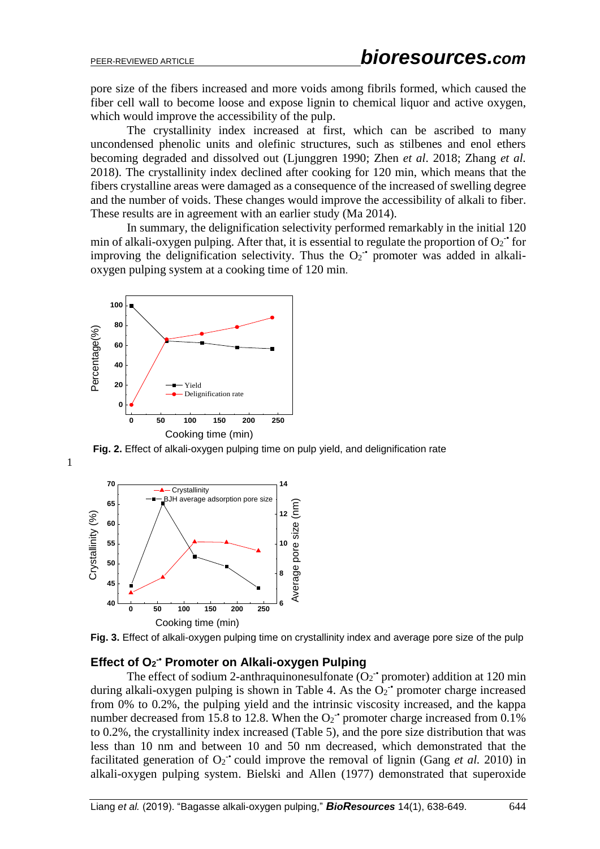pore size of the fibers increased and more voids among fibrils formed, which caused the fiber cell wall to become loose and expose lignin to chemical liquor and active oxygen, which would improve the accessibility of the pulp.

The crystallinity index increased at first, which can be ascribed to many uncondensed phenolic units and olefinic structures, such as stilbenes and enol ethers becoming degraded and dissolved out (Ljunggren 1990; Zhen *et al*. 2018; Zhang *et al.*  2018). The crystallinity index declined after cooking for 120 min, which means that the fibers crystalline areas were damaged as a consequence of the increased of swelling degree and the number of voids. These changes would improve the accessibility of alkali to fiber. These results are in agreement with an earlier study (Ma 2014).

In summary, the delignification selectivity performed remarkably in the initial 120 min of alkali-oxygen pulping. After that, it is essential to regulate the proportion of  $O_2$ <sup>+</sup> for improving the delignification selectivity. Thus the  $O_2$ <sup>+</sup> promoter was added in alkalioxygen pulping system at a cooking time of 120 min.



**Fig. 2.** Effect of alkali-oxygen pulping time on pulp yield, and delignification rate



1



### **Effect of O<sup>2</sup> -• Promoter on Alkali-oxygen Pulping**

The effect of sodium 2-anthraquinonesulfonate  $(O_2$ <sup>-•</sup> promoter) addition at 120 min during alkali-oxygen pulping is shown in Table 4. As the  $O_2$ <sup>+</sup> promoter charge increased from 0% to 0.2%, the pulping yield and the intrinsic viscosity increased, and the kappa number decreased from 15.8 to 12.8. When the  $O_2$ <sup>-•</sup> promoter charge increased from 0.1% to 0.2%, the crystallinity index increased (Table 5), and the pore size distribution that was less than 10 nm and between 10 and 50 nm decreased, which demonstrated that the facilitated generation of  $O_2$ <sup>+</sup> could improve the removal of lignin (Gang *et al.* 2010) in alkali-oxygen pulping system. Bielski and Allen (1977) demonstrated that superoxide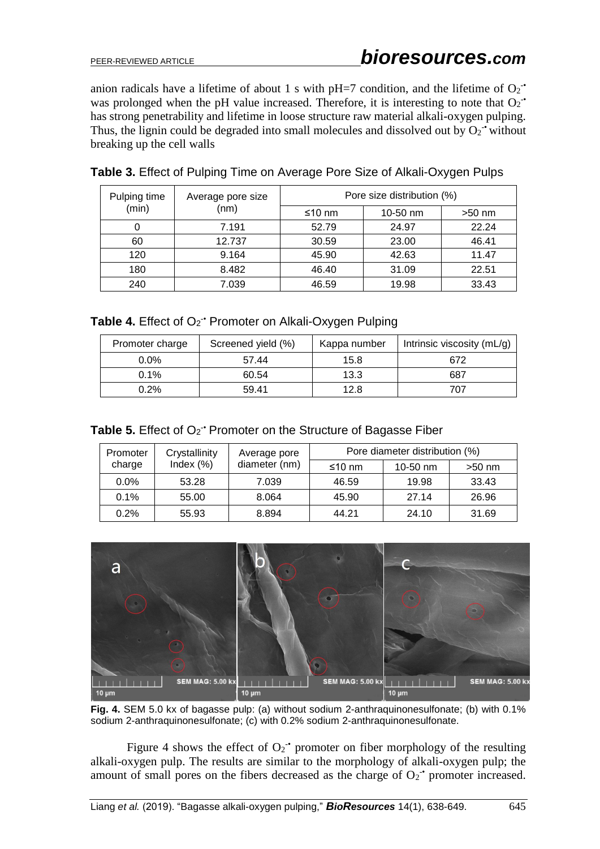anion radicals have a lifetime of about 1 s with pH=7 condition, and the lifetime of  $O_2$ <sup>-•</sup> was prolonged when the pH value increased. Therefore, it is interesting to note that  $O_2$ <sup>-</sup> has strong penetrability and lifetime in loose structure raw material alkali-oxygen pulping. Thus, the lignin could be degraded into small molecules and dissolved out by  $O_2$ <sup>-•</sup> without breaking up the cell walls

| Pulping time<br>(min) | Average pore size<br>(nm) | Pore size distribution (%) |          |          |  |
|-----------------------|---------------------------|----------------------------|----------|----------|--|
|                       |                           | ≤10 nm                     | 10-50 nm | $>50$ nm |  |
|                       | 7.191                     | 52.79                      | 24.97    | 22.24    |  |
| 60                    | 12.737                    | 30.59                      | 23.00    | 46.41    |  |
| 120                   | 9.164                     | 45.90                      | 42.63    | 11.47    |  |
| 180                   | 8.482                     | 46.40                      | 31.09    | 22.51    |  |
| 240                   | 7.039                     | 46.59                      | 19.98    | 33.43    |  |

### **Table 3.** Effect of Pulping Time on Average Pore Size of Alkali-Oxygen Pulps

Table 4. Effect of O<sub>2</sub><sup>•</sup> Promoter on Alkali-Oxygen Pulping

| Promoter charge | Screened yield (%) | Kappa number | Intrinsic viscosity $(mL/g)$ |
|-----------------|--------------------|--------------|------------------------------|
| $0.0\%$         | 57.44              | 15.8         | 672                          |
| 0.1%            | 60.54              | 13.3         | 687                          |
| 0.2%            | 59.41              | 12.8         | 707                          |

|  |  |  |  |  |  |  | Table 5. Effect of O <sub>2</sub> <sup>-•</sup> Promoter on the Structure of Bagasse Fiber |
|--|--|--|--|--|--|--|--------------------------------------------------------------------------------------------|
|--|--|--|--|--|--|--|--------------------------------------------------------------------------------------------|

| Promoter | Crystallinity | Average pore  | Pore diameter distribution (%) |            |          |  |
|----------|---------------|---------------|--------------------------------|------------|----------|--|
| charge   | Index $(\%)$  | diameter (nm) | ≤10 nm                         | $10-50$ nm | $>50$ nm |  |
| $0.0\%$  | 53.28         | 7.039         | 46.59                          | 19.98      | 33.43    |  |
| 0.1%     | 55.00         | 8.064         | 45.90                          | 27.14      | 26.96    |  |
| 0.2%     | 55.93         | 8.894         | 44.21                          | 24.10      | 31.69    |  |



**Fig. 4.** SEM 5.0 kx of bagasse pulp: (a) without sodium 2-anthraquinonesulfonate; (b) with 0.1% sodium 2-anthraquinonesulfonate; (c) with 0.2% sodium 2-anthraquinonesulfonate.

Figure 4 shows the effect of  $O_2$ <sup>+</sup> promoter on fiber morphology of the resulting alkali-oxygen pulp. The results are similar to the morphology of alkali-oxygen pulp; the amount of small pores on the fibers decreased as the charge of  $O_2$ <sup>-</sup> promoter increased.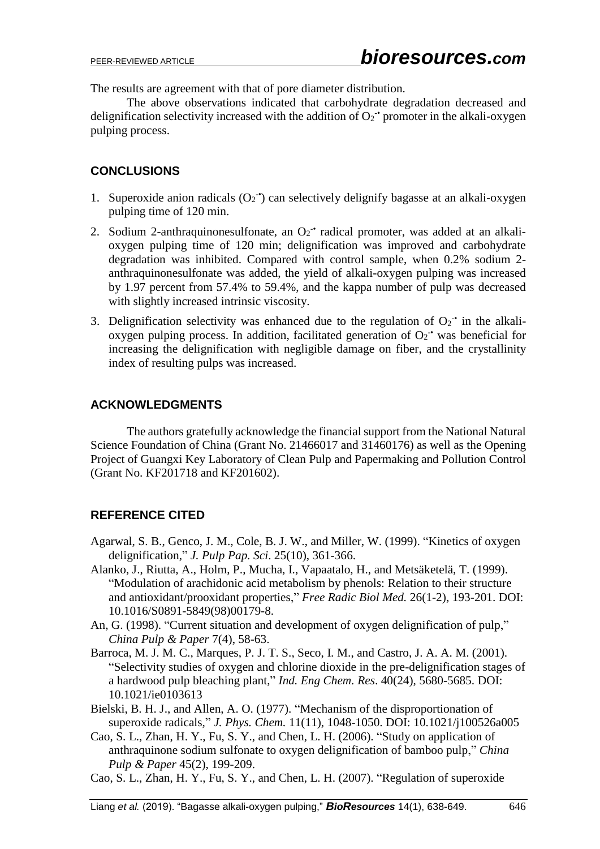The results are agreement with that of pore diameter distribution.

The above observations indicated that carbohydrate degradation decreased and delignification selectivity increased with the addition of  $O_2$ <sup>-</sup> promoter in the alkali-oxygen pulping process.

### **CONCLUSIONS**

- 1. Superoxide anion radicals  $(O_2$ <sup>-</sup>) can selectively delignify bagasse at an alkali-oxygen pulping time of 120 min.
- 2. Sodium 2-anthraquinonesulfonate, an  $O_2$  radical promoter, was added at an alkalioxygen pulping time of 120 min; delignification was improved and carbohydrate degradation was inhibited. Compared with control sample, when 0.2% sodium 2 anthraquinonesulfonate was added, the yield of alkali-oxygen pulping was increased by 1.97 percent from 57.4% to 59.4%, and the kappa number of pulp was decreased with slightly increased intrinsic viscosity.
- 3. Delignification selectivity was enhanced due to the regulation of  $O_2$ <sup>+</sup> in the alkalioxygen pulping process. In addition, facilitated generation of  $O_2$ <sup>-</sup> was beneficial for increasing the delignification with negligible damage on fiber, and the crystallinity index of resulting pulps was increased.

### **ACKNOWLEDGMENTS**

The authors gratefully acknowledge the financial support from the National Natural Science Foundation of China (Grant No. 21466017 and 31460176) as well as the Opening Project of Guangxi Key Laboratory of Clean Pulp and Papermaking and Pollution Control (Grant No. KF201718 and KF201602).

### **REFERENCE CITED**

- Agarwal, S. B., Genco, J. M., Cole, B. J. W., and Miller, W. (1999). "Kinetics of oxygen delignification," *J. Pulp Pap. Sci*. 25(10), 361-366.
- Alanko, J., Riutta, A., Holm, P., Mucha, I., Vapaatalo, H., and Metsäketelä, T. (1999). "Modulation of arachidonic acid metabolism by phenols: Relation to their structure and antioxidant/prooxidant properties," *Free Radic Biol Med.* 26(1-2), 193-201. DOI: [10.1016/S0891-5849\(98\)00179-8.](http://dx.doi.org/10.1016/S0891-5849(98)00179-8)
- An, G. (1998). "Current situation and development of oxygen delignification of pulp," *China Pulp & Paper* 7(4), 58-63.
- Barroca, M. J. M. C., Marques, P. J. T. S., Seco, I. M., and Castro, J. A. A. M. (2001). "Selectivity studies of oxygen and chlorine dioxide in the pre-delignification stages of a hardwood pulp bleaching plant," *Ind. Eng Chem. Res*. 40(24), 5680-5685. DOI: [10.1021/ie0103613](http://dx.doi.org/10.1021/ie0103613)
- Bielski, B. H. J., and Allen, A. O. (1977). "Mechanism of the disproportionation of superoxide radicals," *J. Phys. Chem.* 11(11), 1048-1050. DOI: [10.1021/j100526a005](http://dx.doi.org/10.1021/j100526a005)
- Cao, S. L., Zhan, H. Y., Fu, S. Y., and Chen, L. H. (2006). "Study on application of anthraquinone sodium sulfonate to oxygen delignification of bamboo pulp," *China Pulp & Paper* 45(2), 199-209.
- Cao, S. L., Zhan, H. Y., Fu, S. Y., and Chen, L. H. (2007). "Regulation of superoxide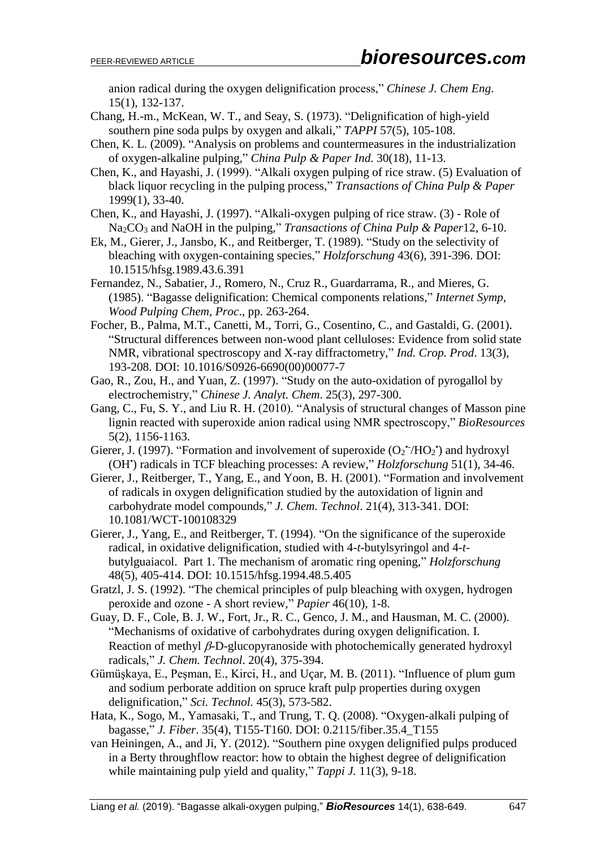anion radical during the oxygen delignification process," *Chinese J. Chem Eng*. 15(1), 132-137.

- Chang, H.-m., McKean, W. T., and Seay, S. (1973). "Delignification of high-yield southern pine soda pulps by oxygen and alkali," *TAPPI* 57(5), 105-108.
- Chen, K. L. (2009). "Analysis on problems and countermeasures in the industrialization of oxygen-alkaline pulping," *China Pulp & Paper Ind*. 30(18), 11-13.
- Chen, K., and Hayashi, J. (1999). "Alkali oxygen pulping of rice straw. (5) Evaluation of black liquor recycling in the pulping process," *Transactions of China Pulp & Paper* 1999(1), 33-40.
- Chen, K., and Hayashi, J. (1997). "Alkali-oxygen pulping of rice straw. (3) Role of Na2CO<sup>3</sup> and NaOH in the pulping," *Transactions of China Pulp & Paper*12, 6-10.
- Ek, M., Gierer, J., Jansbo, K., and Reitberger, T. (1989). "Study on the selectivity of bleaching with oxygen-containing species," *Holzforschung* 43(6), 391-396. DOI: [10.1515/hfsg.1989.43.6.391](http://dx.doi.org/10.1515/hfsg.1989.43.6.391)
- Fernandez, N., Sabatier, J., Romero, N., Cruz R., Guardarrama, R., and Mieres, G. (1985). "Bagasse delignification: Chemical components relations," *Internet Symp, Wood Pulping Chem, Proc*., pp. 263-264.
- Focher, B., Palma, M.T., Canetti, M., Torri, G., Cosentino, C., and Gastaldi, G. (2001). "Structural differences between non-wood plant celluloses: Evidence from solid state NMR, vibrational spectroscopy and X-ray diffractometry," *Ind. Crop. Prod*. 13(3), 193-208. DOI: [10.1016/S0926-6690\(00\)00077-7](http://dx.doi.org/10.1016/S0926-6690(00)00077-7)
- Gao, R., Zou, H., and Yuan, Z. (1997). "Study on the auto-oxidation of pyrogallol by electrochemistry," *Chinese J. Analyt. Chem*. 25(3), 297-300.
- Gang, C., Fu, S. Y., and Liu R. H. (2010). "Analysis of structural changes of Masson pine lignin reacted with superoxide anion radical using NMR spectroscopy," *BioResources* 5(2), 1156-1163.
- Gierer, J. (1997). "Formation and involvement of superoxide  $(O_2^{\star}/HO_2^{\star})$  and hydroxyl (OH• ) radicals in TCF bleaching processes: A review," *Holzforschung* 51(1), 34-46.
- Gierer, J., Reitberger, T., Yang, E., and Yoon, B. H. (2001). "Formation and involvement of radicals in oxygen delignification studied by the autoxidation of lignin and carbohydrate model compounds," *J. Chem. Technol*. 21(4), 313-341. DOI: [10.1081/WCT-100108329](http://dx.doi.org/10.1081/WCT-100108329)
- Gierer, J., Yang, E., and Reitberger, T. (1994). "On the significance of the superoxide radical, in oxidative delignification, studied with 4-*t*-butylsyringol and 4-*t*butylguaiacol. Part 1. The mechanism of aromatic ring opening," *Holzforschung* 48(5), 405-414. DOI: [10.1515/hfsg.1994.48.5.405](http://dx.doi.org/10.1515/hfsg.1994.48.5.405)
- Gratzl, J. S. (1992). "The chemical principles of pulp bleaching with oxygen, hydrogen peroxide and ozone - A short review," *Papier* 46(10), 1-8.
- Guay, D. F., Cole, B. J. W., Fort, Jr., R. C., Genco, J. M., and Hausman, M. C. (2000). "Mechanisms of oxidative of carbohydrates during oxygen delignification. I. Reaction of methyl  $\beta$ -D-glucopyranoside with photochemically generated hydroxyl radicals," *J. Chem. Technol*. 20(4), 375-394.
- Gümüşkaya, E., Peşman, E., Kirci, H., and Uçar, M. B. (2011). "Influence of plum gum and sodium perborate addition on spruce kraft pulp properties during oxygen delignification," *Sci. Technol.* 45(3), 573-582.
- Hata, K., Sogo, M., Yamasaki, T., and Trung, T. Q. (2008). "Oxygen-alkali pulping of bagasse," *J. Fiber*. 35(4), T155-T160. DOI: [0.2115/fiber.35.4\\_T155](http://dx.doi.org/10.2115/fiber.35.4_T155)
- van Heiningen, A., and Ji, Y. (2012). "Southern pine oxygen delignified pulps produced in a Berty throughflow reactor: how to obtain the highest degree of delignification while maintaining pulp yield and quality," *Tappi J.* 11(3), 9-18.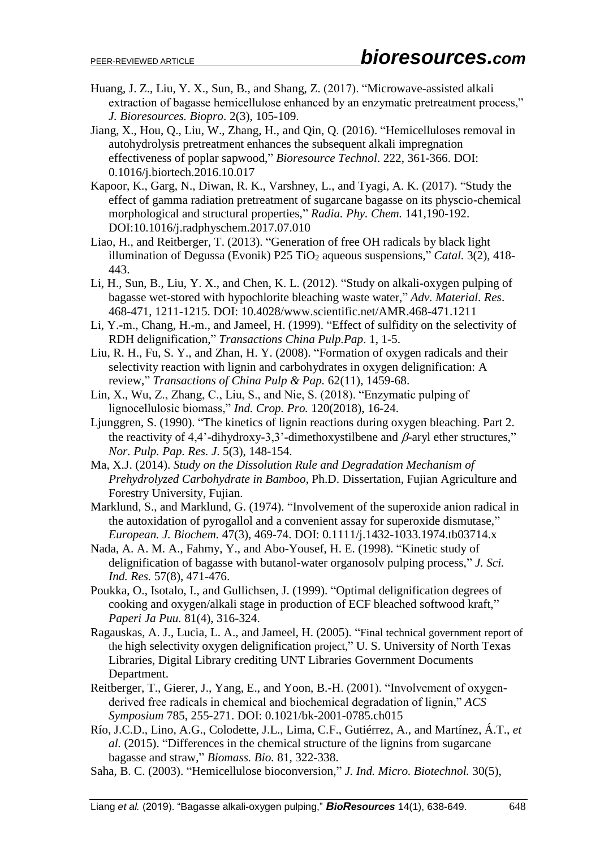- Huang, J. Z., Liu, Y. X., Sun, B., and Shang, Z. (2017). "Microwave-assisted alkali extraction of bagasse hemicellulose enhanced by an enzymatic pretreatment process," *J. Bioresources. Biopro*. 2(3), 105-109.
- Jiang, X., Hou, Q., Liu, W., Zhang, H., and Qin, Q. (2016). "Hemicelluloses removal in autohydrolysis pretreatment enhances the subsequent alkali impregnation effectiveness of poplar sapwood," *Bioresource Technol*. 222, 361-366. DOI: [0.1016/j.biortech.2016.10.017](http://dx.doi.org/10.1016/j.biortech.2016.10.017)
- Kapoor, K., Garg, N., Diwan, R. K., Varshney, L., and Tyagi, A. K. (2017). "Study the effect of gamma radiation pretreatment of sugarcane bagasse on its physcio-chemical morphological and structural properties," *Radia. Phy. Chem.* 141,190-192. DOI[:10.1016/j.radphyschem.2017.07.010](http://dx.doi.org/10.1016/j.radphyschem.2017.07.010)
- Liao, H., and Reitberger, T. (2013). "Generation of free OH radicals by black light illumination of Degussa (Evonik) P25 TiO<sup>2</sup> aqueous suspensions," *Catal.* 3(2), 418- 443.
- Li, H., Sun, B., Liu, Y. X., and Chen, K. L. (2012). "Study on alkali-oxygen pulping of bagasse wet-stored with hypochlorite bleaching waste water," *Adv. Material. Res*. 468-471, 1211-1215. DOI: [10.4028/www.scientific.net/AMR.468-471.1211](http://dx.doi.org/10.4028/www.scientific.net/AMR.468-471.1211)
- Li, Y.-m., Chang, H.-m., and Jameel, H. (1999). "Effect of sulfidity on the selectivity of RDH delignification," *Transactions China Pulp.Pap*. 1, 1-5.
- Liu, R. H., Fu, S. Y., and Zhan, H. Y. (2008). "Formation of oxygen radicals and their selectivity reaction with lignin and carbohydrates in oxygen delignification: A review," *Transactions of China Pulp & Pap.* 62(11), 1459-68.
- Lin, X., Wu, Z., Zhang, C., Liu, S., and Nie, S. (2018). "Enzymatic pulping of lignocellulosic biomass," *Ind. Crop. Pro.* 120(2018), 16-24.
- Ljunggren, S. (1990). "The kinetics of lignin reactions during oxygen bleaching. Part 2. the reactivity of 4,4'-dihydroxy-3,3'-dimethoxystilbene and  $\beta$ -aryl ether structures," *Nor. Pulp. Pap. Res. J*. 5(3), 148-154.
- Ma, X.J. (2014). *Study on the Dissolution Rule and Degradation Mechanism of Prehydrolyzed Carbohydrate in Bamboo*, Ph.D. Dissertation*,* Fujian Agriculture and Forestry University, Fujian.
- Marklund, S., and Marklund, G. (1974). "Involvement of the superoxide anion radical in the autoxidation of pyrogallol and a convenient assay for superoxide dismutase," *European. J. Biochem.* 47(3), 469-74. DOI: [0.1111/j.1432-1033.1974.tb03714.x](http://dx.doi.org/10.1111/j.1432-1033.1974.tb03714.x)
- Nada, A. A. M. A., Fahmy, Y., and Abo-Yousef, H. E. (1998). "Kinetic study of delignification of bagasse with butanol-water organosolv pulping process," *J. Sci. Ind. Res.* 57(8), 471-476.
- Poukka, O., Isotalo, I., and Gullichsen, J. (1999). "Optimal delignification degrees of cooking and oxygen/alkali stage in production of ECF bleached softwood kraft," *Paperi Ja Puu.* 81(4), 316-324.
- Ragauskas, A. J., Lucia, L. A., and Jameel, H. (2005). "Final technical government report of the high selectivity oxygen delignification project," U. S. University of North Texas Libraries, Digital Library crediting UNT Libraries Government Documents Department.
- Reitberger, T., Gierer, J., Yang, E., and Yoon, B.-H. (2001). "Involvement of oxygenderived free radicals in chemical and biochemical degradation of lignin," *ACS Symposium* 785, 255-271. DOI: [0.1021/bk-2001-0785.ch015](http://dx.doi.org/10.1021/bk-2001-0785.ch015)
- Río, J.C.D., Lino, A.G., Colodette, J.L., Lima, C.F., Gutiérrez, A., and Martínez, Á.T., *et al.* (2015). "Differences in the chemical structure of the lignins from sugarcane bagasse and straw," *Biomass. Bio.* 81, 322-338.
- Saha, B. C. (2003). "Hemicellulose bioconversion," *J. Ind. Micro. Biotechnol.* 30(5),